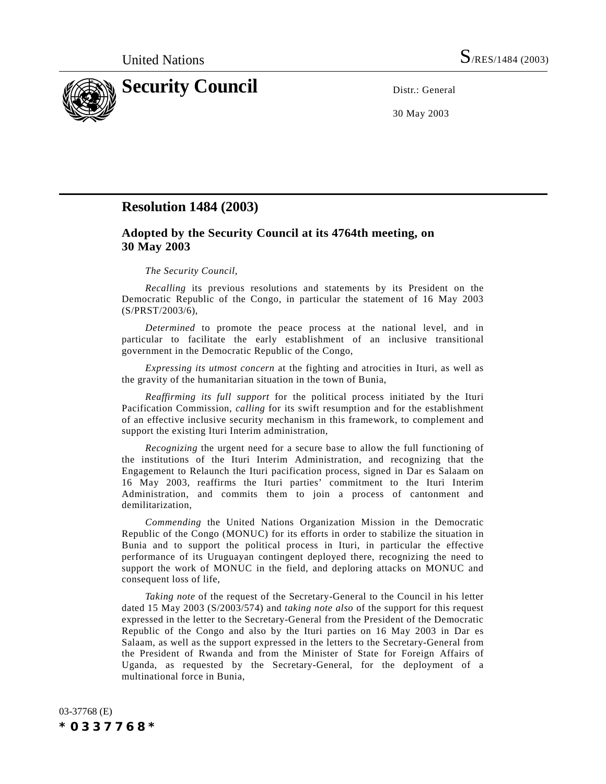

30 May 2003

## **Resolution 1484 (2003)**

## **Adopted by the Security Council at its 4764th meeting, on 30 May 2003**

## *The Security Council*,

*Recalling* its previous resolutions and statements by its President on the Democratic Republic of the Congo, in particular the statement of 16 May 2003 (S/PRST/2003/6),

*Determined* to promote the peace process at the national level, and in particular to facilitate the early establishment of an inclusive transitional government in the Democratic Republic of the Congo,

*Expressing its utmost concern* at the fighting and atrocities in Ituri, as well as the gravity of the humanitarian situation in the town of Bunia,

*Reaffirming its full support* for the political process initiated by the Ituri Pacification Commission, *calling* for its swift resumption and for the establishment of an effective inclusive security mechanism in this framework, to complement and support the existing Ituri Interim administration,

*Recognizing* the urgent need for a secure base to allow the full functioning of the institutions of the Ituri Interim Administration, and recognizing that the Engagement to Relaunch the Ituri pacification process, signed in Dar es Salaam on 16 May 2003, reaffirms the Ituri parties' commitment to the Ituri Interim Administration, and commits them to join a process of cantonment and demilitarization,

*Commending* the United Nations Organization Mission in the Democratic Republic of the Congo (MONUC) for its efforts in order to stabilize the situation in Bunia and to support the political process in Ituri, in particular the effective performance of its Uruguayan contingent deployed there, recognizing the need to support the work of MONUC in the field, and deploring attacks on MONUC and consequent loss of life,

*Taking note* of the request of the Secretary-General to the Council in his letter dated 15 May 2003 (S/2003/574) and *taking note also* of the support for this request expressed in the letter to the Secretary-General from the President of the Democratic Republic of the Congo and also by the Ituri parties on 16 May 2003 in Dar es Salaam, as well as the support expressed in the letters to the Secretary-General from the President of Rwanda and from the Minister of State for Foreign Affairs of Uganda, as requested by the Secretary-General, for the deployment of a multinational force in Bunia,

03-37768 (E) *\*0337768\**